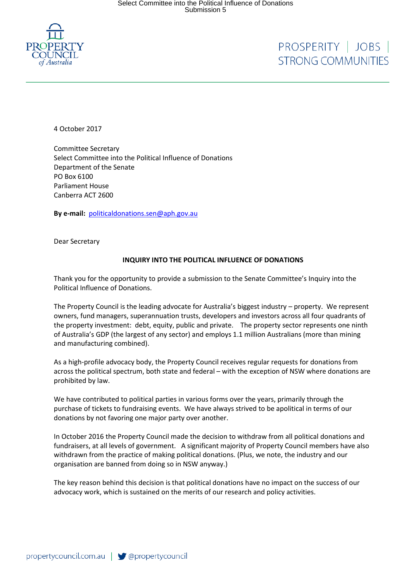

## PROSPERITY | JOBS | **STRONG COMMUNITIES**

4 October 2017

Committee Secretary Select Committee into the Political Influence of Donations Department of the Senate PO Box 6100 Parliament House Canberra ACT 2600

**By e-mail:** [politicaldonations.sen@aph.gov.au](mailto:politicaldonations.sen@aph.gov.au)

Dear Secretary

## **INQUIRY INTO THE POLITICAL INFLUENCE OF DONATIONS**

Thank you for the opportunity to provide a submission to the Senate Committee's Inquiry into the Political Influence of Donations.

The Property Council is the leading advocate for Australia's biggest industry – property. We represent owners, fund managers, superannuation trusts, developers and investors across all four quadrants of the property investment: debt, equity, public and private. The property sector represents one ninth of Australia's GDP (the largest of any sector) and employs 1.1 million Australians (more than mining and manufacturing combined).

As a high-profile advocacy body, the Property Council receives regular requests for donations from across the political spectrum, both state and federal – with the exception of NSW where donations are prohibited by law.

We have contributed to political parties in various forms over the years, primarily through the purchase of tickets to fundraising events. We have always strived to be apolitical in terms of our donations by not favoring one major party over another.

In October 2016 the Property Council made the decision to withdraw from all political donations and fundraisers, at all levels of government. A significant majority of Property Council members have also withdrawn from the practice of making political donations. (Plus, we note, the industry and our organisation are banned from doing so in NSW anyway.)

The key reason behind this decision is that political donations have no impact on the success of our advocacy work, which is sustained on the merits of our research and policy activities.